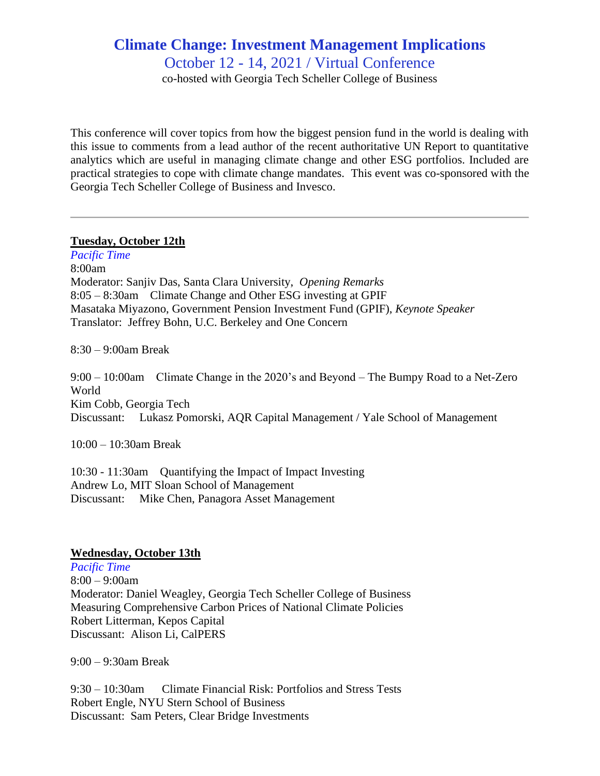## **Climate Change: Investment Management Implications** October 12 - 14, 2021 / Virtual Conference

co-hosted with Georgia Tech Scheller College of Business

This conference will cover topics from how the biggest pension fund in the world is dealing with this issue to comments from a lead author of the recent authoritative UN Report to quantitative analytics which are useful in managing climate change and other ESG portfolios. Included are practical strategies to cope with climate change mandates. This event was co-sponsored with the Georgia Tech Scheller College of Business and Invesco.

## **Tuesday, October 12th**

*Pacific Time* 8:00am Moderator: Sanjiv Das, Santa Clara University, *Opening Remarks* 8:05 – 8:30am Climate Change and Other ESG investing at GPIF Masataka Miyazono, Government Pension Investment Fund (GPIF), *Keynote Speaker* Translator: Jeffrey Bohn, U.C. Berkeley and One Concern

8:30 – 9:00am Break

9:00 – 10:00am Climate Change in the 2020's and Beyond – The Bumpy Road to a Net-Zero World Kim Cobb, Georgia Tech Discussant: Lukasz Pomorski, AQR Capital Management / Yale School of Management

10:00 – 10:30am Break

10:30 - 11:30am Quantifying the Impact of Impact Investing Andrew Lo, MIT Sloan School of Management Discussant: Mike Chen, Panagora Asset Management

## **Wednesday, October 13th**

*Pacific Time* 8:00 – 9:00am Moderator: Daniel Weagley, Georgia Tech Scheller College of Business Measuring Comprehensive Carbon Prices of National Climate Policies Robert Litterman, Kepos Capital Discussant: Alison Li, CalPERS

9:00 – 9:30am Break

9:30 – 10:30am Climate Financial Risk: Portfolios and Stress Tests Robert Engle, NYU Stern School of Business Discussant: Sam Peters, Clear Bridge Investments